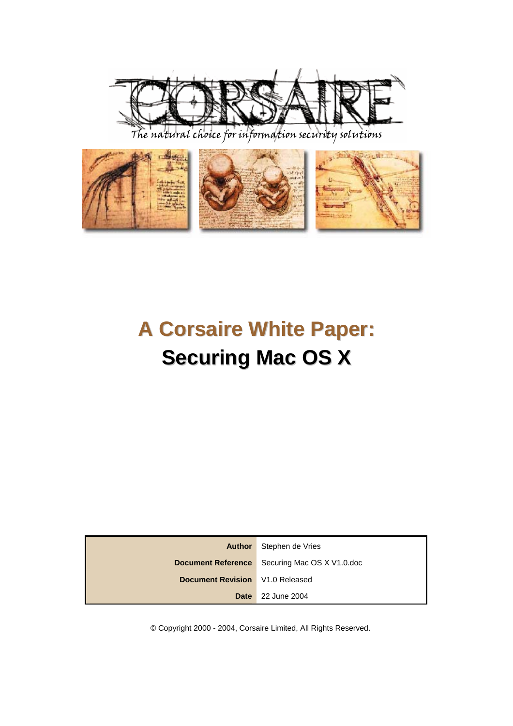

The natural choice for information security solutions



# **A Corsaire White Paper: Securing Mac OS X**

| Author                                 | Stephen de Vries                                     |
|----------------------------------------|------------------------------------------------------|
|                                        | <b>Document Reference</b> Securing Mac OS X V1.0.doc |
| <b>Document Revision</b> V1.0 Released |                                                      |
| <b>Date</b>                            | 22 June 2004                                         |

© Copyright 2000 - 2004, Corsaire Limited, All Rights Reserved.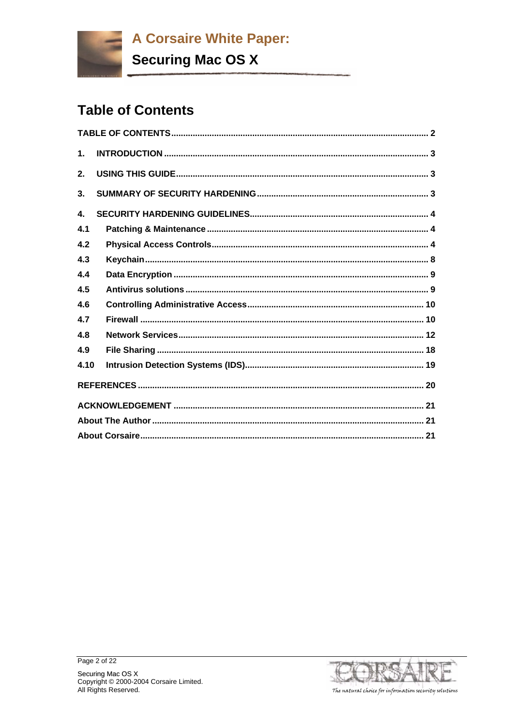<span id="page-1-0"></span>

# **Table of Contents**

| 1.   |  |
|------|--|
| 2.   |  |
| 3.   |  |
| 4.   |  |
| 4.1  |  |
| 4.2  |  |
| 4.3  |  |
| 4.4  |  |
| 4.5  |  |
| 4.6  |  |
| 4.7  |  |
| 4.8  |  |
| 4.9  |  |
| 4.10 |  |
|      |  |
|      |  |
|      |  |
|      |  |



Page 2 of 22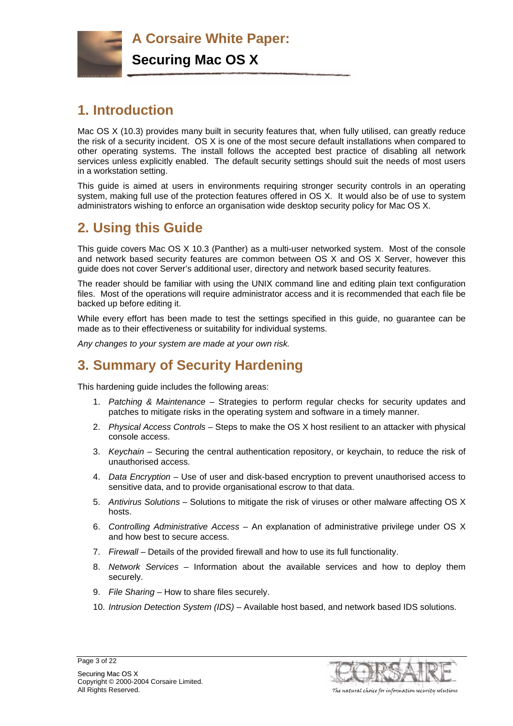<span id="page-2-0"></span>**A Corsaire White Paper: Securing Mac OS X**

# **1. Introduction**

Mac OS X (10.3) provides many built in security features that, when fully utilised, can greatly reduce the risk of a security incident. OS X is one of the most secure default installations when compared to other operating systems. The install follows the accepted best practice of disabling all network services unless explicitly enabled. The default security settings should suit the needs of most users in a workstation setting.

This guide is aimed at users in environments requiring stronger security controls in an operating system, making full use of the protection features offered in OS X. It would also be of use to system administrators wishing to enforce an organisation wide desktop security policy for Mac OS X.

# **2. Using this Guide**

This guide covers Mac OS X 10.3 (Panther) as a multi-user networked system. Most of the console and network based security features are common between OS X and OS X Server, however this guide does not cover Server's additional user, directory and network based security features.

The reader should be familiar with using the UNIX command line and editing plain text configuration files. Most of the operations will require administrator access and it is recommended that each file be backed up before editing it.

While every effort has been made to test the settings specified in this guide, no guarantee can be made as to their effectiveness or suitability for individual systems.

*Any changes to your system are made at your own risk.* 

# **3. Summary of Security Hardening**

This hardening guide includes the following areas:

- 1. *Patching & Maintenance* Strategies to perform regular checks for security updates and patches to mitigate risks in the operating system and software in a timely manner.
- 2. *Physical Access Controls* Steps to make the OS X host resilient to an attacker with physical console access.
- 3. *Keychain* Securing the central authentication repository, or keychain, to reduce the risk of unauthorised access.
- 4. *Data Encryption* Use of user and disk-based encryption to prevent unauthorised access to sensitive data, and to provide organisational escrow to that data.
- 5. *Antivirus Solutions* Solutions to mitigate the risk of viruses or other malware affecting OS X hosts.
- 6. *Controlling Administrative Access* An explanation of administrative privilege under OS X and how best to secure access.
- 7. *Firewall* Details of the provided firewall and how to use its full functionality.
- 8. *Network Services* Information about the available services and how to deploy them securely.
- 9. *File Sharing* How to share files securely.
- 10. *Intrusion Detection System (IDS)* Available host based, and network based IDS solutions.

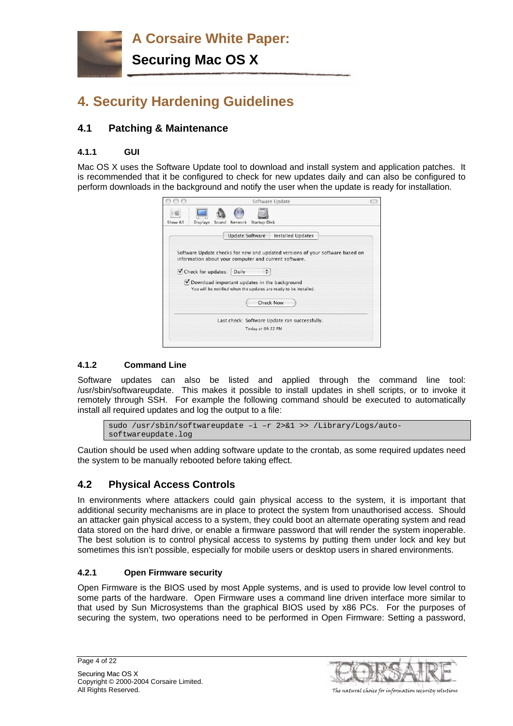**A Corsaire White Paper:** 

**Securing Mac OS X**

# <span id="page-3-0"></span>**4. Security Hardening Guidelines**

# **4.1 Patching & Maintenance**

### **4.1.1 GUI**

Mac OS X uses the Software Update tool to download and install system and application patches. It is recommended that it be configured to check for new updates daily and can also be configured to perform downloads in the background and notify the user when the update is ready for installation.

| <b>Displays</b><br>Sound<br>Show All | Startup Disk<br>Network<br><b>Update Software</b><br><b>Installed Updates</b>                                                          |
|--------------------------------------|----------------------------------------------------------------------------------------------------------------------------------------|
|                                      |                                                                                                                                        |
|                                      |                                                                                                                                        |
|                                      | Software Update checks for new and updated versions of your software based on<br>information about your computer and current software. |
| Check for updates:                   | Daily<br>÷                                                                                                                             |
|                                      | Download important updates in the background<br>You will be notified when the updates are ready to be installed.                       |
|                                      | <b>Check Now</b>                                                                                                                       |
|                                      | Last check: Software Update ran successfully.                                                                                          |
|                                      | Today at 09:22 PM                                                                                                                      |

### **4.1.2 Command Line**

Software updates can also be listed and applied through the command line tool: /usr/sbin/softwareupdate. This makes it possible to install updates in shell scripts, or to invoke it remotely through SSH. For example the following command should be executed to automatically install all required updates and log the output to a file:

sudo /usr/sbin/softwareupdate –i –r 2>&1 >> /Library/Logs/autosoftwareupdate.log

Caution should be used when adding software update to the crontab, as some required updates need the system to be manually rebooted before taking effect.

# **4.2 Physical Access Controls**

In environments where attackers could gain physical access to the system, it is important that additional security mechanisms are in place to protect the system from unauthorised access. Should an attacker gain physical access to a system, they could boot an alternate operating system and read data stored on the hard drive, or enable a firmware password that will render the system inoperable. The best solution is to control physical access to systems by putting them under lock and key but sometimes this isn't possible, especially for mobile users or desktop users in shared environments.

### **4.2.1 Open Firmware security**

Open Firmware is the BIOS used by most Apple systems, and is used to provide low level control to some parts of the hardware. Open Firmware uses a command line driven interface more similar to that used by Sun Microsystems than the graphical BIOS used by x86 PCs. For the purposes of securing the system, two operations need to be performed in Open Firmware: Setting a password,

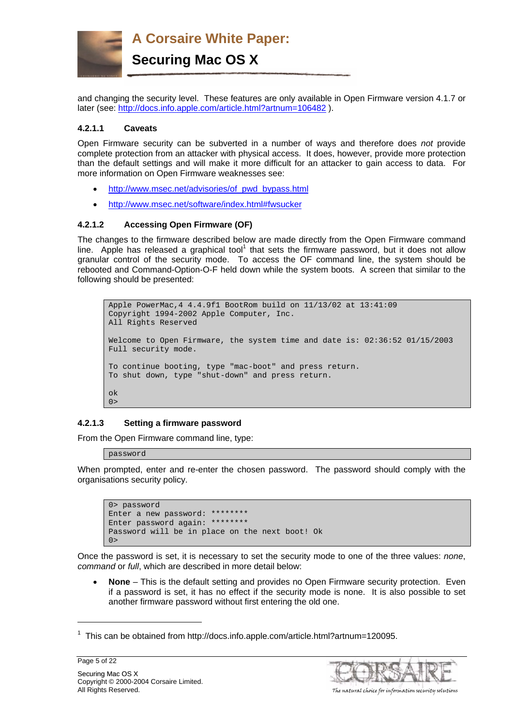

and changing the security level. These features are only available in Open Firmware version 4.1.7 or later (see:<http://docs.info.apple.com/article.html?artnum=106482> ).

#### **4.2.1.1 Caveats**

Open Firmware security can be subverted in a number of ways and therefore does *not* provide complete protection from an attacker with physical access. It does, however, provide more protection than the default settings and will make it more difficult for an attacker to gain access to data. For more information on Open Firmware weaknesses see:

- [http://www.msec.net/advisories/of\\_pwd\\_bypass.html](http://www.msec.net/advisories/of_pwd_bypass.html)
- http://www.msec.net/software/index.html#fwsucker

#### **4.2.1.2 Accessing Open Firmware (OF)**

The changes to the firmware described below are made directly from the Open Firmware command line. Apple has released a [graphical tool](http://docs.info.apple.com/article.html?artnum=120095)<sup>1</sup> that sets the firmware password, but it does not allow granular control of the security mode. [To](#page-4-0) access the OF command line, the system should be rebooted and Command-Option-O-F held down while the system boots. A screen that similar to the following should be presented:

```
Apple PowerMac,4 4.4.9f1 BootRom build on 11/13/02 at 13:41:09 
Copyright 1994-2002 Apple Computer, Inc. 
All Rights Reserved 
Welcome to Open Firmware, the system time and date is: 02:36:52 01/15/2003 
Full security mode. 
To continue booting, type "mac-boot" and press return. 
To shut down, type "shut-down" and press return. 
ok 
0>
```
#### **4.2.1.3 Setting a firmware password**

From the Open Firmware command line, type:

#### password

When prompted, enter and re-enter the chosen password. The password should comply with the organisations security policy.

```
0> password 
Enter a new password: ******** 
Enter password again: ******** 
Password will be in place on the next boot! Ok 
0>
```
Once the password is set, it is necessary to set the security mode to one of the three values: *none*, *command* or *full*, which are described in more detail below:

• **None** – This is the default setting and provides no Open Firmware security protection. Even if a password is set, it has no effect if the security mode is none. It is also possible to set another firmware password without first entering the old one.

Page 5 of 22

l



The natural choice for information security solutions

<span id="page-4-0"></span><sup>&</sup>lt;sup>1</sup> This can be obtained from http://docs.info.apple.com/article.html?artnum=120095.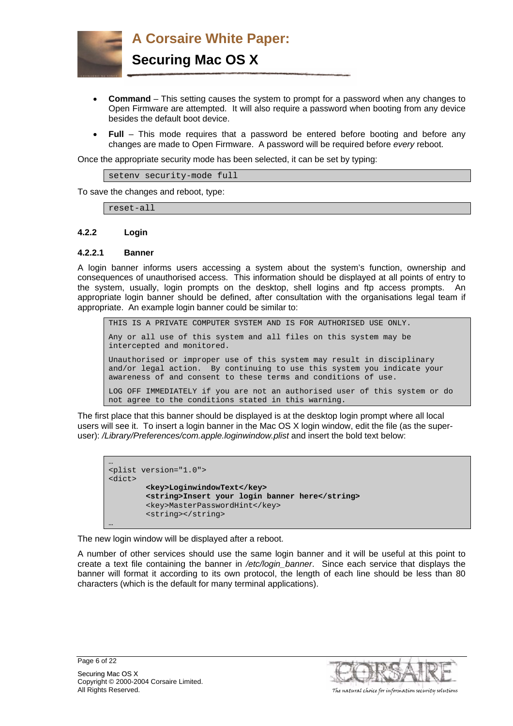

- **Command** This setting causes the system to prompt for a password when any changes to Open Firmware are attempted. It will also require a password when booting from any device besides the default boot device.
- **Full** This mode requires that a password be entered before booting and before any changes are made to Open Firmware. A password will be required before *every* reboot.

Once the appropriate security mode has been selected, it can be set by typing:

```
setenv security-mode full
```
To save the changes and reboot, type:

reset-all

#### **4.2.2 Login**

#### <span id="page-5-0"></span>**4.2.2.1 Banner**

A login banner informs users accessing a system about the system's function, ownership and consequences of unauthorised access. This information should be displayed at all points of entry to the system, usually, login prompts on the desktop, shell logins and ftp access prompts. An appropriate login banner should be defined, after consultation with the organisations legal team if appropriate. An example login banner could be similar to:

```
THIS IS A PRIVATE COMPUTER SYSTEM AND IS FOR AUTHORISED USE ONLY. 
Any or all use of this system and all files on this system may be 
intercepted and monitored. 
Unauthorised or improper use of this system may result in disciplinary 
and/or legal action. By continuing to use this system you indicate your 
awareness of and consent to these terms and conditions of use. 
LOG OFF IMMEDIATELY if you are not an authorised user of this system or do 
not agree to the conditions stated in this warning.
```
The first place that this banner should be displayed is at the desktop login prompt where all local users will see it. To insert a login banner in the Mac OS X login window, edit the file (as the superuser): */Library/Preferences/com.apple.loginwindow.plist* and insert the bold text below:

```
… 
<plist version="1.0"> 
<dict> 
         <key>LoginwindowText</key> 
         <string>Insert your login banner here</string> 
        <key>MasterPasswordHint</key>
         <string></string> 
…
```
The new login window will be displayed after a reboot.

A number of other services should use the same login banner and it will be useful at this point to create a text file containing the banner in */etc/login\_banner*. Since each service that displays the banner will format it according to its own protocol, the length of each line should be less than 80 characters (which is the default for many terminal applications).



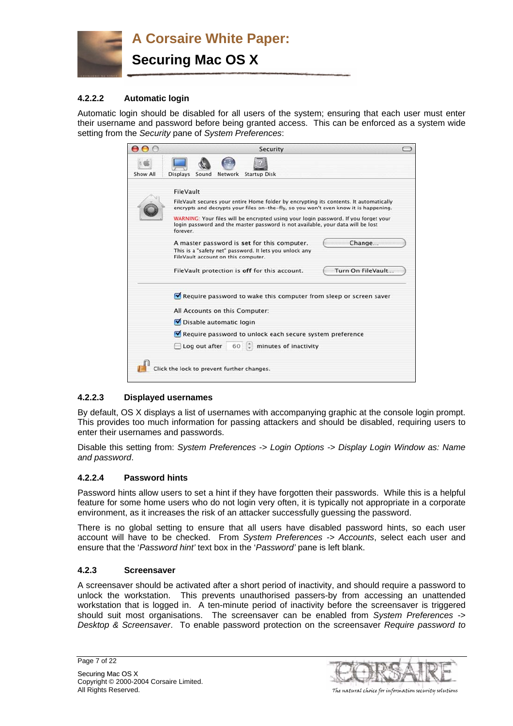

#### **4.2.2.2 Automatic login**

Automatic login should be disabled for all users of the system; ensuring that each user must enter their username and password before being granted access. This can be enforced as a system wide setting from the *Security* pane of *System Preferences*:

|          | <b>Security</b>                                                                                                                                                                    |  |
|----------|------------------------------------------------------------------------------------------------------------------------------------------------------------------------------------|--|
|          |                                                                                                                                                                                    |  |
| Show All | <b>Startup Disk</b><br><b>Displays</b><br>Sound<br><b>Network</b>                                                                                                                  |  |
|          | FileVault                                                                                                                                                                          |  |
|          | FileVault secures your entire Home folder by encrypting its contents. It automatically<br>encrypts and decrypts your files on-the-fly, so you won't even know it is happening.     |  |
|          | WARNING: Your files will be encrypted using your login password. If you forget your<br>login password and the master password is not available, your data will be lost<br>forever. |  |
|          | Change<br>A master password is set for this computer.<br>This is a "safety net" password. It lets you unlock any<br>FileVault account on this computer.                            |  |
|          | Turn On FileVault<br>FileVault protection is off for this account.                                                                                                                 |  |
|          | Require password to wake this computer from sleep or screen saver                                                                                                                  |  |
|          | All Accounts on this Computer:                                                                                                                                                     |  |
|          | Disable automatic login                                                                                                                                                            |  |
|          | Require password to unlock each secure system preference                                                                                                                           |  |
|          | $\Box$ Log out after 60 $\ddot{\phantom{a}}$ minutes of inactivity                                                                                                                 |  |
|          | Click the lock to prevent further changes.                                                                                                                                         |  |

#### **4.2.2.3 Displayed usernames**

By default, OS X displays a list of usernames with accompanying graphic at the console login prompt. This provides too much information for passing attackers and should be disabled, requiring users to enter their usernames and passwords.

Disable this setting from: *System Preferences -> Login Options -> Display Login Window as: Name and password*.

#### **4.2.2.4 Password hints**

Password hints allow users to set a hint if they have forgotten their passwords. While this is a helpful feature for some home users who do not login very often, it is typically not appropriate in a corporate environment, as it increases the risk of an attacker successfully guessing the password.

There is no global setting to ensure that all users have disabled password hints, so each user account will have to be checked. From *System Preferences -> Accounts*, select each user and ensure that the '*Password hint'* text box in the '*Password'* pane is left blank.

#### **4.2.3 Screensaver**

A screensaver should be activated after a short period of inactivity, and should require a password to unlock the workstation. This prevents unauthorised passers-by from accessing an unattended workstation that is logged in. A ten-minute period of inactivity before the screensaver is triggered should suit most organisations. The screensaver can be enabled from *System Preferences* -> *Desktop & Screensaver*. To enable password protection on the screensaver *Require password to* 

Page 7 of 22

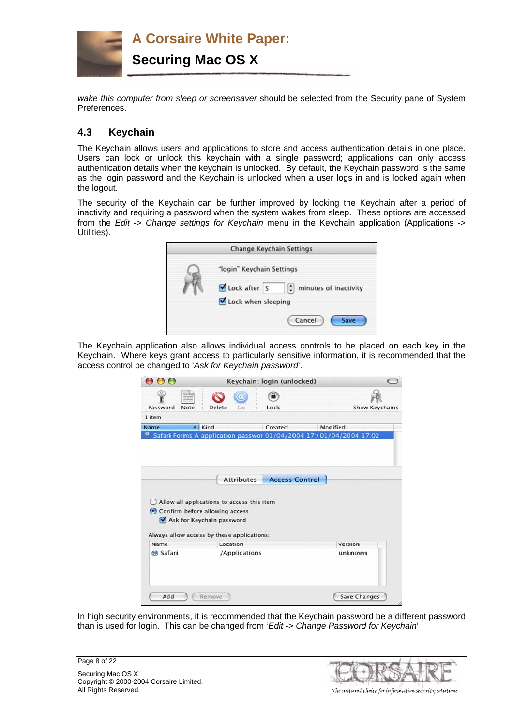<span id="page-7-0"></span>

*wake this computer from sleep or screensaver* should be selected from the Security pane of System Preferences.

# **4.3 Keychain**

The Keychain allows users and applications to store and access authentication details in one place. Users can lock or unlock this keychain with a single password; applications can only access authentication details when the keychain is unlocked. By default, the Keychain password is the same as the login password and the Keychain is unlocked when a user logs in and is locked again when the logout.

The security of the Keychain can be further improved by locking the Keychain after a period of inactivity and requiring a password when the system wakes from sleep. These options are accessed from the *Edit* -> *Change settings for Keychain* menu in the Keychain application (Applications -> Utilities).



The Keychain application also allows individual access controls to be placed on each key in the Keychain. Where keys grant access to particularly sensitive information, it is recommended that the access control be changed to '*Ask for Keychain password'*.

|                                                               |      |                           |          |                   | Keychain: login (unlocked) |                       | $\hspace{0.1in} \rightarrow$                                       |
|---------------------------------------------------------------|------|---------------------------|----------|-------------------|----------------------------|-----------------------|--------------------------------------------------------------------|
|                                                               |      |                           |          |                   |                            |                       |                                                                    |
| Password                                                      | Note | Delete                    |          | Сo                | Lock                       |                       | <b>Show Keychains</b>                                              |
| 1 item                                                        |      |                           |          |                   |                            |                       |                                                                    |
| <b>Name</b>                                                   |      | $\triangle$ Kind          |          |                   | Created                    |                       | Modified                                                           |
|                                                               |      |                           |          |                   |                            |                       | Safari Forms A application passwor 01/04/2004 17:101/04/2004 17:02 |
|                                                               |      |                           |          |                   |                            |                       |                                                                    |
|                                                               |      |                           |          | <b>Attributes</b> |                            | <b>Access Control</b> |                                                                    |
|                                                               |      |                           |          |                   |                            |                       |                                                                    |
| Allow all applications to access this item                    |      |                           |          |                   |                            |                       |                                                                    |
| Confirm before allowing access                                |      |                           |          |                   |                            |                       |                                                                    |
|                                                               |      | Ask for Keychain password |          |                   |                            |                       |                                                                    |
|                                                               |      |                           |          |                   |                            |                       |                                                                    |
| Name                                                          |      |                           | Location |                   |                            |                       | Version                                                            |
| Always allow access by these applications:<br><b>8</b> Safari |      |                           |          | /Applications     |                            |                       | unknown                                                            |

In high security environments, it is recommended that the Keychain password be a different password than is used for login. This can be changed from '*Edit* -> *Change Password for Keychain*'



All Rights Reserved. The natural choice for information security solutions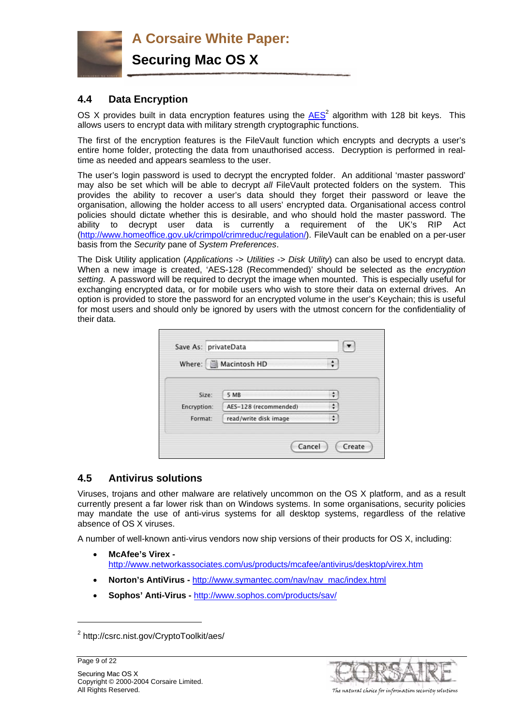<span id="page-8-0"></span>

# **4.4 Data Encryption**

OS X provides built in data encryption features using the  $\overline{AES}^2$  $\overline{AES}^2$  $\overline{AES}^2$  $\overline{AES}^2$  algorithm with 128 bit keys. This allows users to encrypt data with military strength cryptographic functions.

The first of the encryption features is the FileVault function which encrypts and decrypts a user's entire home folder, protecting the data from unauthorised access. Decryption is performed in realtime as needed and appears seamless to the user.

The user's login password is used to decrypt the encrypted folder. An additional 'master password' may also be set which will be able to decrypt *all* FileVault protected folders on the system. This provides the ability to recover a user's data should they forget their password or leave the organisation, allowing the holder access to all users' encrypted data. Organisational access control policies should dictate whether this is desirable, and who should hold the master password. The ability to decrypt user data is currently a requirement of the UK's RIP Act [\(http://www.homeoffice.gov.uk/crimpol/crimreduc/regulation/](http://www.homeoffice.gov.uk/crimpol/crimreduc/regulation/)). FileVault can be enabled on a per-user basis from the *Security* pane of *System Preferences*.

The Disk Utility application (*Applications* -> *Utilities* -> *Disk Utility*) can also be used to encrypt data. When a new image is created, 'AES-128 (Recommended)' should be selected as the *encryption setting*. A password will be required to decrypt the image when mounted. This is especially useful for exchanging encrypted data, or for mobile users who wish to store their data on external drives. An option is provided to store the password for an encrypted volume in the user's Keychain; this is useful for most users and should only be ignored by users with the utmost concern for the confidentiality of their data.

|             | Where: Macintosh HD   |   |
|-------------|-----------------------|---|
|             |                       |   |
| Size:       | 5 MB                  | ٥ |
| Encryption: | AES-128 (recommended) | ٠ |
| Format:     | read/write disk image | ٥ |

# **4.5 Antivirus solutions**

Viruses, trojans and other malware are relatively uncommon on the OS X platform, and as a result currently present a far lower risk than on Windows systems. In some organisations, security policies may mandate the use of anti-virus systems for all desktop systems, regardless of the relative absence of OS X viruses.

A number of well-known anti-virus vendors now ship versions of their products for OS X, including:

- **McAfee's Virex**  <http://www.networkassociates.com/us/products/mcafee/antivirus/desktop/virex.htm>
- **Norton's AntiVirus -** [http://www.symantec.com/nav/nav\\_mac/index.html](http://www.symantec.com/nav/nav_mac/index.html)
- **Sophos' Anti-Virus -** <http://www.sophos.com/products/sav/>

l



The natural choice for information security solutions

<span id="page-8-1"></span><sup>&</sup>lt;sup>2</sup> http://csrc.nist.gov/CryptoToolkit/aes/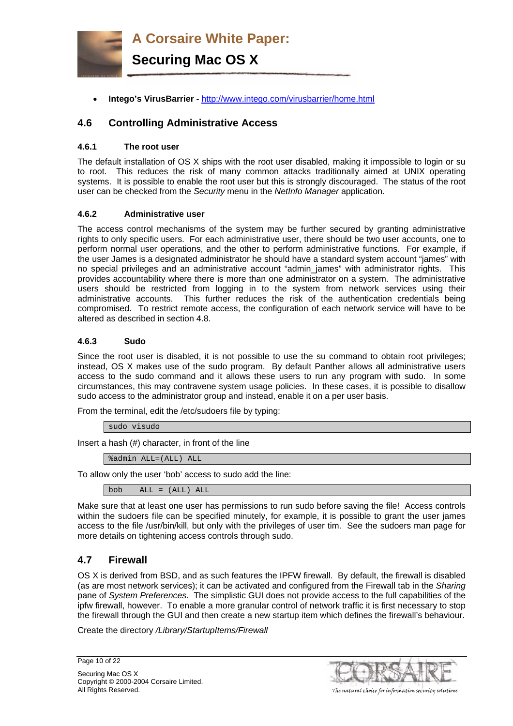<span id="page-9-0"></span>

• **Intego's VirusBarrier -** <http://www.intego.com/virusbarrier/home.html>

# **4.6 Controlling Administrative Access**

#### **4.6.1 The root user**

The default installation of OS X ships with the root user disabled, making it impossible to login or su to root. This reduces the risk of many common attacks traditionally aimed at UNIX operating systems. It is possible to enable the root user but this is strongly discouraged. The status of the root user can be checked from the *Security* menu in the *NetInfo Manager* application.

#### **4.6.2 Administrative user**

The access control mechanisms of the system may be further secured by granting administrative rights to only specific users. For each administrative user, there should be two user accounts, one to perform normal user operations, and the other to perform administrative functions. For example, if the user James is a designated administrator he should have a standard system account "james" with no special privileges and an administrative account "admin\_james" with administrator rights. This provides accountability where there is more than one administrator on a system. The administrative users should be restricted from logging in to the system from network services using their administrative accounts. This further reduces the risk of the authentication credentials being compromised. To restrict remote access, the configuration of each network service will have to be altered as described in section [4.8.](#page-11-1)

#### **4.6.3 Sudo**

Since the root user is disabled, it is not possible to use the su command to obtain root privileges; instead, OS X makes use of the sudo program. By default Panther allows all administrative users access to the sudo command and it allows these users to run any program with sudo. In some circumstances, this may contravene system usage policies. In these cases, it is possible to disallow sudo access to the administrator group and instead, enable it on a per user basis.

From the terminal, edit the /etc/sudoers file by typing:

sudo visudo

Insert a hash (#) character, in front of the line

%admin ALL=(ALL) ALL

To allow only the user 'bob' access to sudo add the line:

bob ALL = (ALL) ALL

Make sure that at least one user has permissions to run sudo before saving the file! Access controls within the sudoers file can be specified minutely, for example, it is possible to grant the user james access to the file /usr/bin/kill, but only with the privileges of user tim. See the sudoers man page for more details on tightening access controls through sudo.

### **4.7 Firewall**

OS X is derived from BSD, and as such features the IPFW firewall. By default, the firewall is disabled (as are most network services); it can be activated and configured from the Firewall tab in the *Sharing* pane of *System Preferences*. The simplistic GUI does not provide access to the full capabilities of the ipfw firewall, however. To enable a more granular control of network traffic it is first necessary to stop the firewall through the GUI and then create a new startup item which defines the firewall's behaviour.

Create the directory */Library/StartupItems/Firewall*

Page 10 of 22 Securing Mac OS X Copyright © 2000-2004 Corsaire Limited.



All Rights Reserved. The natural choice for information security solutions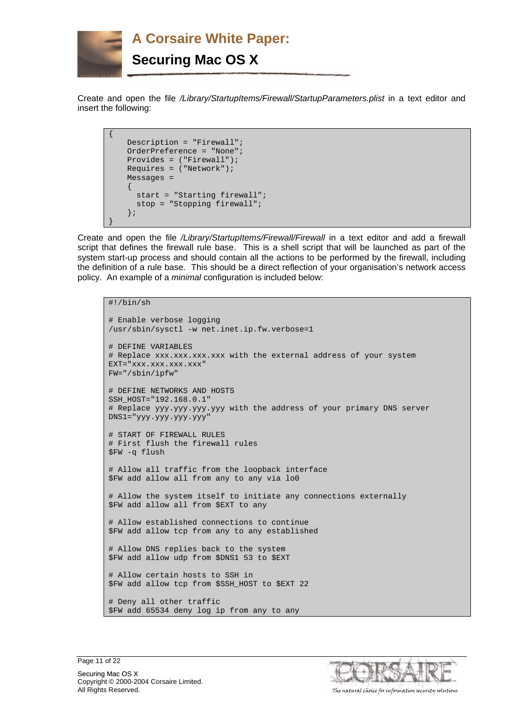

Create and open the file */Library/StartupItems/Firewall/StartupParameters.plist* in a text editor and insert the following:

```
{ 
     Description = "Firewall"; 
     OrderPreference = "None"; 
     Provides = ("Firewall"); 
     Requires = ("Network"); 
     Messages = 
\left\{\begin{array}{c} \end{array}\right\} start = "Starting firewall"; 
        stop = "Stopping firewall"; 
      }; 
}
```
Create and open the file */Library/StartupItems/Firewall/Firewall* in a text editor and add a firewall script that defines the firewall rule base. This is a shell script that will be launched as part of the system start-up process and should contain all the actions to be performed by the firewall, including the definition of a rule base. This should be a direct reflection of your organisation's network access policy. An example of a *minimal* configuration is included below:

#### #!/bin/sh

```
# Enable verbose logging 
/usr/sbin/sysctl -w net.inet.ip.fw.verbose=1 
# DEFINE VARIABLES 
# Replace xxx.xxx.xxx.xxx with the external address of your system 
EXT="xxx.xxx.xxx.xxx"
FW="/sbin/ipfw" 
# DEFINE NETWORKS AND HOSTS 
SSH_HOST="192.168.0.1" 
# Replace yyy.yyy.yyy.yyy with the address of your primary DNS server 
DNS1="yyy.yyy.yyy.yyy" 
# START OF FIREWALL RULES 
# First flush the firewall rules 
$FW -q flush 
# Allow all traffic from the loopback interface 
$FW add allow all from any to any via lo0 
# Allow the system itself to initiate any connections externally 
$FW add allow all from $EXT to any 
# Allow established connections to continue 
$FW add allow tcp from any to any established 
# Allow DNS replies back to the system 
$FW add allow udp from $DNS1 53 to $EXT 
# Allow certain hosts to SSH in 
$FW add allow tcp from $SSH_HOST to $EXT 22 
# Deny all other traffic 
$FW add 65534 deny log ip from any to any
```
Page 11 of 22 Securing Mac OS X Copyright © 2000-2004 Corsaire Limited.



The natural choice for information security solutions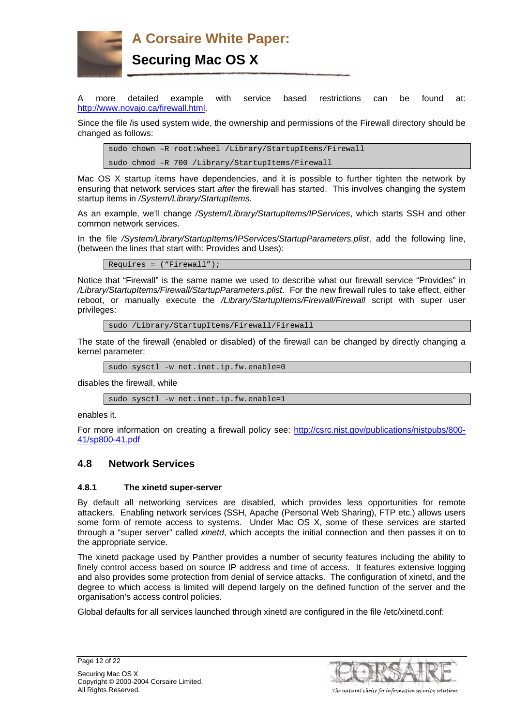<span id="page-11-0"></span>

**A Corsaire White Paper:** 

# **Securing Mac OS X**

A more detailed example with service based restrictions can be found at: [http://www.novajo.ca/firewall.html.](http://www.novajo.ca/firewall.html)

Since the file /is used system wide, the ownership and permissions of the Firewall directory should be changed as follows:

sudo chown -R root:wheel /Library/StartupItems/Firewall

sudo chmod –R 700 /Library/StartupItems/Firewall

Mac OS X startup items have dependencies, and it is possible to further tighten the network by ensuring that network services start *after* the firewall has started. This involves changing the system startup items in */System/Library/StartupItems*.

As an example, we'll change */System/Library/StartupItems/IPServices*, which starts SSH and other common network services.

In the file */System/Library/StartupItems/IPServices/StartupParameters.plist*, add the following line, (between the lines that start with: Provides and Uses):

Requires = ("Firewall");

Notice that "Firewall" is the same name we used to describe what our firewall service "Provides" in */Library/StartupItems/Firewall/StartupParameters.plist*. For the new firewall rules to take effect, either reboot, or manually execute the */Library/StartupItems/Firewall/Firewall* script with super user privileges:

sudo /Library/StartupItems/Firewall/Firewall

The state of the firewall (enabled or disabled) of the firewall can be changed by directly changing a kernel parameter:

sudo sysctl -w net.inet.ip.fw.enable=0

disables the firewall, while

sudo sysctl -w net.inet.ip.fw.enable=1

enables it.

For more information on creating a firewall policy see: [http://csrc.nist.gov/publications/nistpubs/800-](http://csrc.nist.gov/publications/nistpubs/800-41/sp800-41.pdf) [41/sp800-41.pdf](http://csrc.nist.gov/publications/nistpubs/800-41/sp800-41.pdf)

### <span id="page-11-1"></span>**4.8 Network Services**

#### **4.8.1 The xinetd super-server**

By default all networking services are disabled, which provides less opportunities for remote attackers. Enabling network services (SSH, Apache (Personal Web Sharing), FTP etc.) allows users some form of remote access to systems. Under Mac OS X, some of these services are started through a "super server" called *xinetd*, which accepts the initial connection and then passes it on to the appropriate service.

The xinetd package used by Panther provides a number of security features including the ability to finely control access based on source IP address and time of access. It features extensive logging and also provides some protection from denial of service attacks. The configuration of xinetd, and the degree to which access is limited will depend largely on the defined function of the server and the organisation's access control policies.

Global defaults for all services launched through xinetd are configured in the file /etc/xinetd.conf:

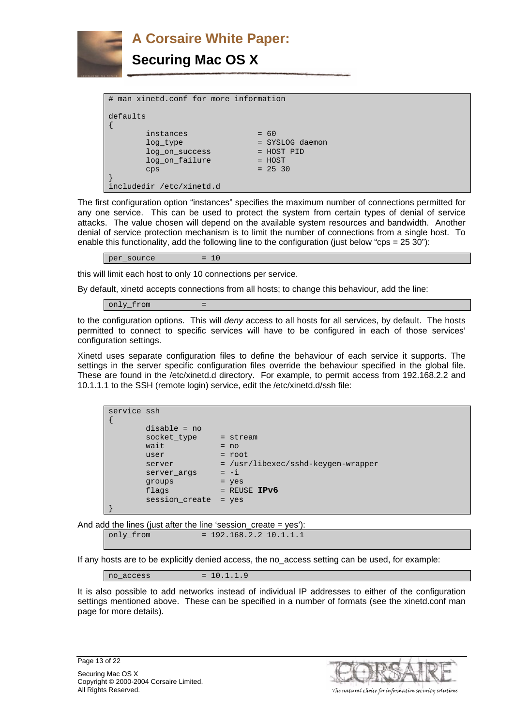

| man xinetd.conf for more information<br># |                 |
|-------------------------------------------|-----------------|
| defaults                                  |                 |
|                                           |                 |
| instances                                 | $= 60$          |
| log_type                                  | = SYSLOG daemon |
| log on success                            | = HOST PID      |
| log on failure                            | $= HOST$        |
| CPS                                       | $= 25.30$       |
|                                           |                 |
| includedir /etc/xinetd.d                  |                 |

The first configuration option "instances" specifies the maximum number of connections permitted for any one service. This can be used to protect the system from certain types of denial of service attacks. The value chosen will depend on the available system resources and bandwidth. Another denial of service protection mechanism is to limit the number of connections from a single host. To enable this functionality, add the following line to the configuration (just below "cps =  $25$  30"):

 $per\_source$  = 10

this will limit each host to only 10 connections per service.

By default, xinetd accepts connections from all hosts; to change this behaviour, add the line:

only\_from

to the configuration options. This will *deny* access to all hosts for all services, by default. The hosts permitted to connect to specific services will have to be configured in each of those services' configuration settings.

Xinetd uses separate configuration files to define the behaviour of each service it supports. The settings in the server specific configuration files override the behaviour specified in the global file. These are found in the /etc/xinetd.d directory. For example, to permit access from 192.168.2.2 and 10.1.1.1 to the SSH (remote login) service, edit the /etc/xinetd.d/ssh file:

| service ssh |                        |                                      |
|-------------|------------------------|--------------------------------------|
|             |                        |                                      |
|             | $disable = no$         |                                      |
|             | socket_type            | $=$ stream                           |
|             | wait                   | $= no$                               |
|             | user                   | $=$ root                             |
|             | server                 | $=$ /usr/libexec/sshd-keygen-wrapper |
|             | server args            | $=-i$                                |
|             | groups                 | $=$ yes                              |
|             | flags                  | $=$ REUSE IPv6                       |
|             | $session create = yes$ |                                      |
|             |                        |                                      |

And add the lines (just after the line 'session create =  $ves$ '):

only from  $= 192.168.2.2 10.1.1.1$ 

If any hosts are to be explicitly denied access, the no\_access setting can be used, for example:

 $no\_access$  =  $10.1.1.9$ 

It is also possible to add networks instead of individual IP addresses to either of the configuration settings mentioned above. These can be specified in a number of formats (see the xinetd.conf man page for more details).

Page 13 of 22



The natural choice for information security solutions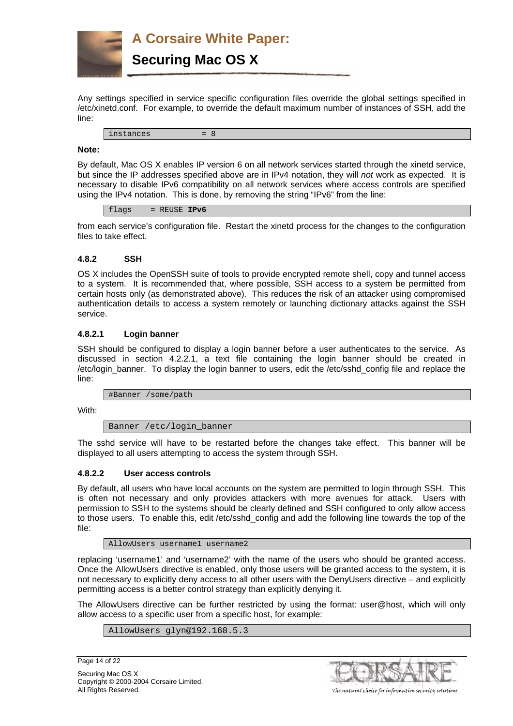

Any settings specified in service specific configuration files override the global settings specified in /etc/xinetd.conf. For example, to override the default maximum number of instances of SSH, add the line:

| $\frac{1}{2}$ | -<br>$\overline{\phantom{0}}$ |  |  |  |
|---------------|-------------------------------|--|--|--|
|---------------|-------------------------------|--|--|--|

#### **Note:**

By default, Mac OS X enables IP version 6 on all network services started through the xinetd service, but since the IP addresses specified above are in IPv4 notation, they will *not* work as expected. It is necessary to disable IPv6 compatibility on all network services where access controls are specified using the IPv4 notation. This is done, by removing the string "IPv6" from the line:

| $ -$<br><b>REUSE</b><br>IPv6<br>tlags<br>= |
|--------------------------------------------|
|--------------------------------------------|

from each service's configuration file. Restart the xinetd process for the changes to the configuration files to take effect.

#### **4.8.2 SSH**

OS X includes the OpenSSH suite of tools to provide encrypted remote shell, copy and tunnel access to a system. It is recommended that, where possible, SSH access to a system be permitted from certain hosts only (as demonstrated above). This reduces the risk of an attacker using compromised authentication details to access a system remotely or launching dictionary attacks against the SSH service.

#### **4.8.2.1 Login banner**

SSH should be configured to display a login banner before a user authenticates to the service. As discussed in section [4.2.2.1,](#page-5-0) a text file containing the login banner should be created in /etc/login\_banner. To display the login banner to users, edit the /etc/sshd\_config file and replace the line:

#Banner /some/path

With:

Banner /etc/login\_banner

The sshd service will have to be restarted before the changes take effect. This banner will be displayed to all users attempting to access the system through SSH.

#### **4.8.2.2 User access controls**

By default, all users who have local accounts on the system are permitted to login through SSH. This is often not necessary and only provides attackers with more avenues for attack. Users with permission to SSH to the systems should be clearly defined and SSH configured to only allow access to those users. To enable this, edit /etc/sshd\_config and add the following line towards the top of the file:

AllowUsers username1 username2

replacing 'username1' and 'username2' with the name of the users who should be granted access. Once the AllowUsers directive is enabled, only those users will be granted access to the system, it is not necessary to explicitly deny access to all other users with the DenyUsers directive – and explicitly permitting access is a better control strategy than explicitly denying it.

The AllowUsers directive can be further restricted by using the format: user@host, which will only allow access to a specific user from a specific host, for example:

AllowUsers glyn@192.168.5.3

Page 14 of 22

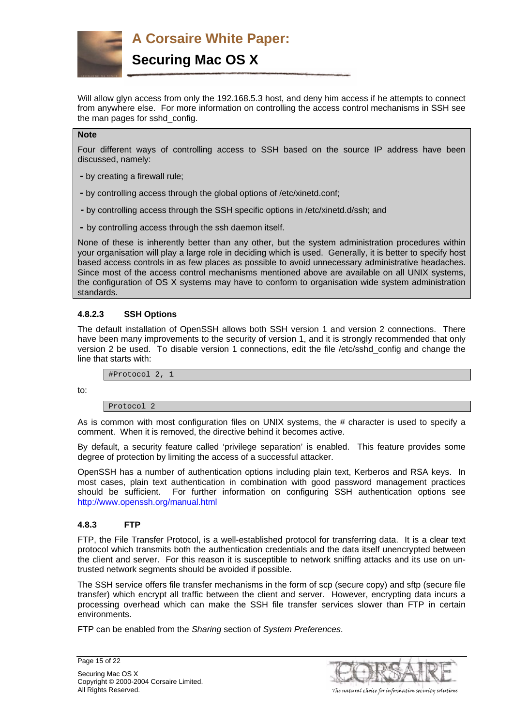

Will allow glyn access from only the 192.168.5.3 host, and deny him access if he attempts to connect from anywhere else. For more information on controlling the access control mechanisms in SSH see the man pages for sshd\_config.

#### **Note**

Four different ways of controlling access to SSH based on the source IP address have been discussed, namely:

- **-** by creating a firewall rule;
- **-** by controlling access through the global options of /etc/xinetd.conf;
- **-** by controlling access through the SSH specific options in /etc/xinetd.d/ssh; and
- **-** by controlling access through the ssh daemon itself.

None of these is inherently better than any other, but the system administration procedures within your organisation will play a large role in deciding which is used. Generally, it is better to specify host based access controls in as few places as possible to avoid unnecessary administrative headaches. Since most of the access control mechanisms mentioned above are available on all UNIX systems, the configuration of OS X systems may have to conform to organisation wide system administration standards.

#### **4.8.2.3 SSH Options**

Protocol 2

The default installation of OpenSSH allows both SSH version 1 and version 2 connections. There have been many improvements to the security of version 1, and it is strongly recommended that only version 2 be used. To disable version 1 connections, edit the file /etc/sshd\_config and change the line that starts with:

#Protocol 2, 1

to:

As is common with most configuration files on UNIX systems, the # character is used to specify a comment. When it is removed, the directive behind it becomes active.

By default, a security feature called 'privilege separation' is enabled. This feature provides some degree of protection by limiting the access of a successful attacker.

OpenSSH has a number of authentication options including plain text, Kerberos and RSA keys. In most cases, plain text authentication in combination with good password management practices should be sufficient. For further information on configuring SSH authentication options see <http://www.openssh.org/manual.html>

#### **4.8.3 FTP**

FTP, the File Transfer Protocol, is a well-established protocol for transferring data. It is a clear text protocol which transmits both the authentication credentials and the data itself unencrypted between the client and server. For this reason it is susceptible to network sniffing attacks and its use on untrusted network segments should be avoided if possible.

The SSH service offers file transfer mechanisms in the form of scp (secure copy) and sftp (secure file transfer) which encrypt all traffic between the client and server. However, encrypting data incurs a processing overhead which can make the SSH file transfer services slower than FTP in certain environments.

FTP can be enabled from the *Sharing* section of *System Preferences*.

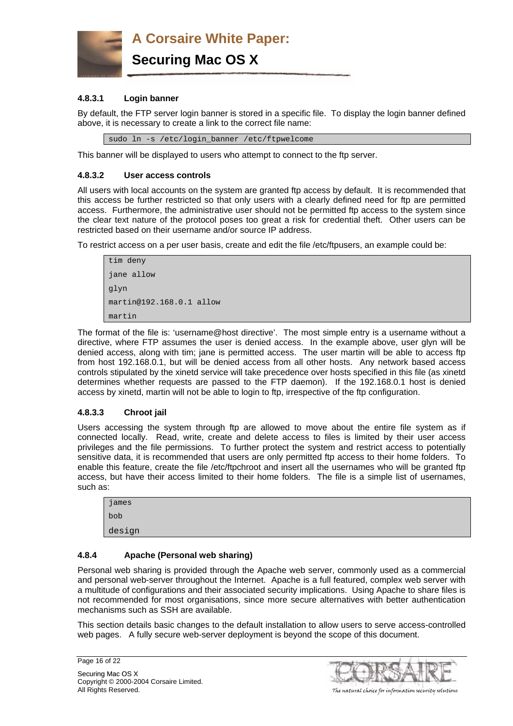

#### **4.8.3.1 Login banner**

By default, the FTP server login banner is stored in a specific file. To display the login banner defined above, it is necessary to create a link to the correct file name:

sudo ln -s /etc/login\_banner /etc/ftpwelcome

This banner will be displayed to users who attempt to connect to the ftp server.

#### **4.8.3.2 User access controls**

All users with local accounts on the system are granted ftp access by default. It is recommended that this access be further restricted so that only users with a clearly defined need for ftp are permitted access. Furthermore, the administrative user should not be permitted ftp access to the system since the clear text nature of the protocol poses too great a risk for credential theft. Other users can be restricted based on their username and/or source IP address.

To restrict access on a per user basis, create and edit the file /etc/ftpusers, an example could be:

```
tim deny 
jane allow 
glyn 
martin@192.168.0.1 allow 
martin
```
The format of the file is: 'username@host directive'. The most simple entry is a username without a directive, where FTP assumes the user is denied access. In the example above, user glyn will be denied access, along with tim; jane is permitted access. The user martin will be able to access ftp from host 192.168.0.1, but will be denied access from all other hosts. Any network based access controls stipulated by the xinetd service will take precedence over hosts specified in this file (as xinetd determines whether requests are passed to the FTP daemon). If the 192.168.0.1 host is denied access by xinetd, martin will not be able to login to ftp, irrespective of the ftp configuration.

#### **4.8.3.3 Chroot jail**

Users accessing the system through ftp are allowed to move about the entire file system as if connected locally. Read, write, create and delete access to files is limited by their user access privileges and the file permissions. To further protect the system and restrict access to potentially sensitive data, it is recommended that users are only permitted ftp access to their home folders. To enable this feature, create the file /etc/ftpchroot and insert all the usernames who will be granted ftp access, but have their access limited to their home folders. The file is a simple list of usernames, such as:

| james  |  |  |  |
|--------|--|--|--|
| bob    |  |  |  |
| design |  |  |  |

#### **4.8.4 Apache (Personal web sharing)**

Personal web sharing is provided through the Apache web server, commonly used as a commercial and personal web-server throughout the Internet. Apache is a full featured, complex web server with a multitude of configurations and their associated security implications. Using Apache to share files is not recommended for most organisations, since more secure alternatives with better authentication mechanisms such as SSH are available.

This section details basic changes to the default installation to allow users to serve access-controlled web pages. A fully secure web-server deployment is beyond the scope of this document.





The natural choice for information security solutions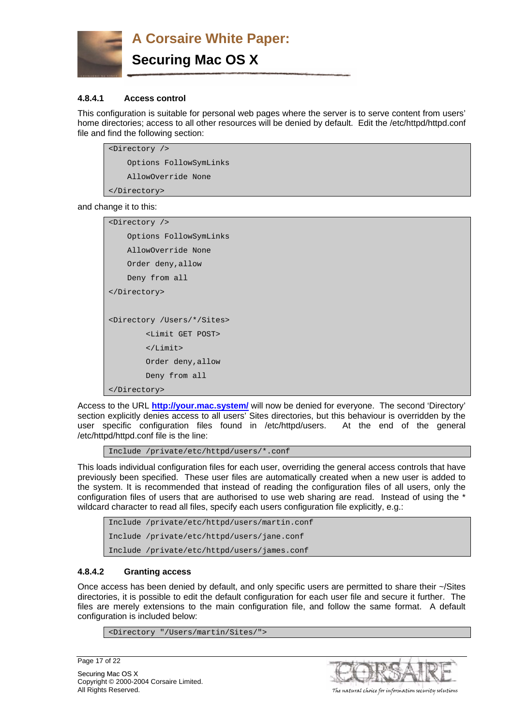

#### **4.8.4.1 Access control**

This configuration is suitable for personal web pages where the server is to serve content from users' home directories; access to all other resources will be denied by default. Edit the /etc/httpd/httpd.conf file and find the following section:

<Directory /> Options FollowSymLinks AllowOverride None </Directory>

and change it to this:

| <directory></directory>                        |
|------------------------------------------------|
| Options FollowSymLinks                         |
| AllowOverride None                             |
| Order deny, allow                              |
| Deny from all                                  |
|                                                |
|                                                |
| <directory *="" sites="" users=""></directory> |
| <limit get="" post=""></limit>                 |
|                                                |
| Order deny, allow                              |
| Deny from all                                  |
|                                                |

Access to the URL **<http://your.mac.system/>** will now be denied for everyone. The second 'Directory' section explicitly denies access to all users' Sites directories, but this behaviour is overridden by the user specific configuration files found in /etc/httpd/users. At the end of the general /etc/httpd/httpd.conf file is the line:

Include /private/etc/httpd/users/\*.conf

This loads individual configuration files for each user, overriding the general access controls that have previously been specified. These user files are automatically created when a new user is added to the system. It is recommended that instead of reading the configuration files of all users, only the configuration files of users that are authorised to use web sharing are read. Instead of using the \* wildcard character to read all files, specify each users configuration file explicitly, e.g.:

Include /private/etc/httpd/users/martin.conf Include /private/etc/httpd/users/jane.conf Include /private/etc/httpd/users/james.conf

#### **4.8.4.2 Granting access**

Once access has been denied by default, and only specific users are permitted to share their ~/Sites directories, it is possible to edit the default configuration for each user file and secure it further. The files are merely extensions to the main configuration file, and follow the same format. A default configuration is included below:

<Directory "/Users/martin/Sites/">



The natural choice for information security solutions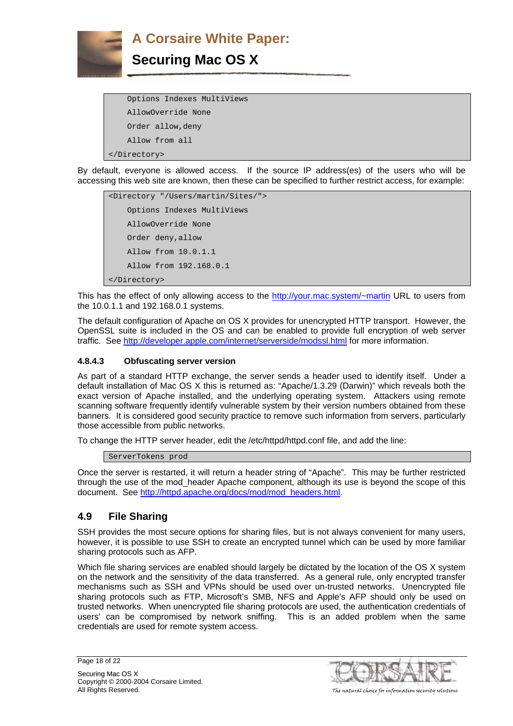<span id="page-17-0"></span>

```
 Options Indexes MultiViews 
     AllowOverride None 
     Order allow,deny 
     Allow from all 
</Directory>
```
By default, everyone is allowed access. If the source IP address(es) of the users who will be accessing this web site are known, then these can be specified to further restrict access, for example:

```
<Directory "/Users/martin/Sites/"> 
     Options Indexes MultiViews 
     AllowOverride None 
     Order deny,allow 
     Allow from 10.0.1.1 
     Allow from 192.168.0.1 
</Directory>
```
This has the effect of only allowing access to the <http://your.mac.system/~martin>URL to users from the 10.0.1.1 and 192.168.0.1 systems.

The default configuration of Apache on OS X provides for unencrypted HTTP transport. However, the OpenSSL suite is included in the OS and can be enabled to provide full encryption of web server traffic. See<http://developer.apple.com/internet/serverside/modssl.html> for more information.

#### **4.8.4.3 Obfuscating server version**

As part of a standard HTTP exchange, the server sends a header used to identify itself. Under a default installation of Mac OS X this is returned as: "Apache/1.3.29 (Darwin)" which reveals both the exact version of Apache installed, and the underlying operating system. Attackers using remote scanning software frequently identify vulnerable system by their version numbers obtained from these banners. It is considered good security practice to remove such information from servers, particularly those accessible from public networks.

To change the HTTP server header, edit the /etc/httpd/httpd.conf file, and add the line:

ServerTokens prod

Once the server is restarted, it will return a header string of "Apache". This may be further restricted through the use of the mod\_header Apache component, although its use is beyond the scope of this document. See [http://httpd.apache.org/docs/mod/mod\\_headers.html.](http://httpd.apache.org/docs/mod/mod_headers.html)

# **4.9 File Sharing**

SSH provides the most secure options for sharing files, but is not always convenient for many users, however, it is possible to use SSH to create an encrypted tunnel which can be used by more familiar sharing protocols such as AFP.

Which file sharing services are enabled should largely be dictated by the location of the OS X system on the network and the sensitivity of the data transferred. As a general rule, only encrypted transfer mechanisms such as SSH and VPNs should be used over un-trusted networks. Unencrypted file sharing protocols such as FTP, Microsoft's SMB, NFS and Apple's AFP should only be used on trusted networks. When unencrypted file sharing protocols are used, the authentication credentials of users' can be compromised by network sniffing. This is an added problem when the same credentials are used for remote system access.



The natural choice for information security solutions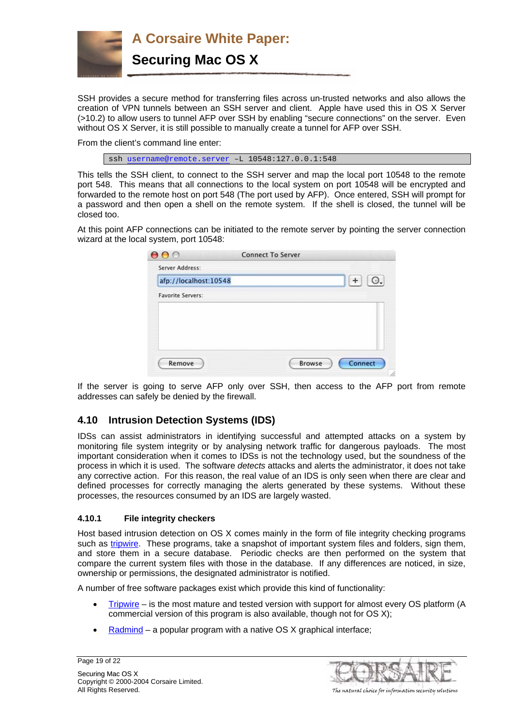<span id="page-18-0"></span>

SSH provides a secure method for transferring files across un-trusted networks and also allows the creation of VPN tunnels between an SSH server and client. Apple have used this in OS X Server (>10.2) to allow users to tunnel AFP over SSH by enabling "secure connections" on the server. Even without OS X Server, it is still possible to manually create a tunnel for AFP over SSH.

From the client's command line enter:

ssh [username@remote.server](mailto:username@remote.server) -L 10548:127.0.0.1:548

This tells the SSH client, to connect to the SSH server and map the local port 10548 to the remote port 548. This means that all connections to the local system on port 10548 will be encrypted and forwarded to the remote host on port 548 (The port used by AFP). Once entered, SSH will prompt for a password and then open a shell on the remote system. If the shell is closed, the tunnel will be closed too.

At this point AFP connections can be initiated to the remote server by pointing the server connection wizard at the local system, port 10548:

| $\circ$                  | <b>Connect To Server</b> |                          |           |
|--------------------------|--------------------------|--------------------------|-----------|
| Server Address:          |                          |                          |           |
| afp://localhost:10548    |                          | $+$                      | $\circ$ . |
| <b>Favorite Servers:</b> |                          |                          |           |
|                          |                          |                          |           |
|                          |                          |                          |           |
|                          |                          |                          |           |
|                          |                          |                          |           |
| Remove                   |                          | Connect<br><b>Browse</b> |           |
|                          |                          |                          |           |

If the server is going to serve AFP only over SSH, then access to the AFP port from remote addresses can safely be denied by the firewall.

# **4.10 Intrusion Detection Systems (IDS)**

IDSs can assist administrators in identifying successful and attempted attacks on a system by monitoring file system integrity or by analysing network traffic for dangerous payloads. The most important consideration when it comes to IDSs is not the technology used, but the soundness of the process in which it is used. The software *detects* attacks and alerts the administrator, it does not take any corrective action. For this reason, the real value of an IDS is only seen when there are clear and defined processes for correctly managing the alerts generated by these systems. Without these processes, the resources consumed by an IDS are largely wasted.

#### **4.10.1 File integrity checkers**

Host based intrusion detection on OS X comes mainly in the form of file integrity checking programs such as [tripwire.](http://sourceforge.net/projects/tripwire) These programs, take a snapshot of important system files and folders, sign them, and store them in a secure database. Periodic checks are then performed on the system that compare the current system files with those in the database. If any differences are noticed, in size, ownership or permissions, the designated administrator is notified.

A number of free software packages exist which provide this kind of functionality:

- [Tripwire](http://www.macguru.net/~frodo/Tripwire-osx.html)  is the most mature and tested version with support for almost every OS platform (A commercial version of this program is also available, though not for OS X);
- [Radmind](http://rsug.itd.umich.edu/software/radmind/) a popular program with a native OS X graphical interface;

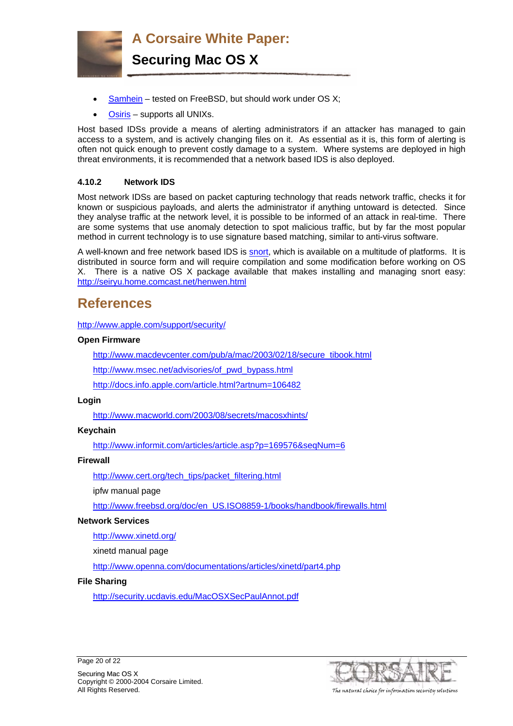<span id="page-19-0"></span>

- [Samhein](http://samhain.sourceforge.net/)  tested on FreeBSD, but should work under OS X;
- [Osiris](http://osiris.shmoo.com/)  supports all UNIXs.

Host based IDSs provide a means of alerting administrators if an attacker has managed to gain access to a system, and is actively changing files on it. As essential as it is, this form of alerting is often not quick enough to prevent costly damage to a system. Where systems are deployed in high threat environments, it is recommended that a network based IDS is also deployed.

#### **4.10.2 Network IDS**

Most network IDSs are based on packet capturing technology that reads network traffic, checks it for known or suspicious payloads, and alerts the administrator if anything untoward is detected. Since they analyse traffic at the network level, it is possible to be informed of an attack in real-time. There are some systems that use anomaly detection to spot malicious traffic, but by far the most popular method in current technology is to use signature based matching, similar to anti-virus software.

A well-known and free network based IDS is [snort](http://www.snort.org/), which is available on a multitude of platforms. It is distributed in source form and will require compilation and some modification before working on OS X. There is a native OS X package available that makes installing and managing snort easy: <http://seiryu.home.comcast.net/henwen.html>

# **References**

<http://www.apple.com/support/security/>

#### **Open Firmware**

[http://www.macdevcenter.com/pub/a/mac/2003/02/18/secure\\_tibook.html](http://www.macdevcenter.com/pub/a/mac/2003/02/18/secure_tibook.html)

[http://www.msec.net/advisories/of\\_pwd\\_bypass.html](http://www.msec.net/advisories/of_pwd_bypass.html) 

<http://docs.info.apple.com/article.html?artnum=106482>

#### **Login**

<http://www.macworld.com/2003/08/secrets/macosxhints/>

#### **Keychain**

<http://www.informit.com/articles/article.asp?p=169576&seqNum=6>

#### **Firewall**

[http://www.cert.org/tech\\_tips/packet\\_filtering.html](http://www.cert.org/tech_tips/packet_filtering.html) 

ipfw manual page

[http://www.freebsd.org/doc/en\\_US.ISO8859-1/books/handbook/firewalls.html](http://www.freebsd.org/doc/en_US.ISO8859-1/books/handbook/firewalls.html)

#### **Network Services**

<http://www.xinetd.org/>

xinetd manual page

<http://www.openna.com/documentations/articles/xinetd/part4.php>

#### **File Sharing**

<http://security.ucdavis.edu/MacOSXSecPaulAnnot.pdf>



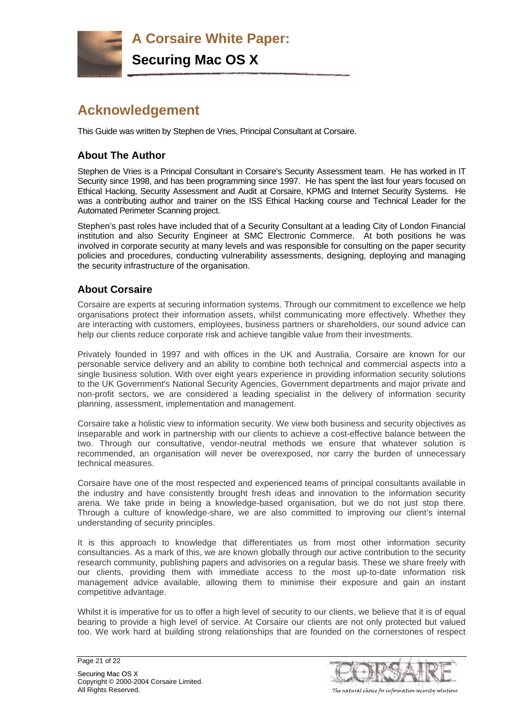<span id="page-20-0"></span>

# **Acknowledgement**

This Guide was written by Stephen de Vries, Principal Consultant at Corsaire.

### **About The Author**

Stephen de Vries is a Principal Consultant in Corsaire's Security Assessment team. He has worked in IT Security since 1998, and has been programming since 1997. He has spent the last four years focused on Ethical Hacking, Security Assessment and Audit at Corsaire, KPMG and Internet Security Systems. He was a contributing author and trainer on the ISS Ethical Hacking course and Technical Leader for the Automated Perimeter Scanning project.

Stephen's past roles have included that of a Security Consultant at a leading City of London Financial institution and also Security Engineer at SMC Electronic Commerce. At both positions he was involved in corporate security at many levels and was responsible for consulting on the paper security policies and procedures, conducting vulnerability assessments, designing, deploying and managing the security infrastructure of the organisation.

### **About Corsaire**

Corsaire are experts at securing information systems. Through our commitment to excellence we help organisations protect their information assets, whilst communicating more effectively. Whether they are interacting with customers, employees, business partners or shareholders, our sound advice can help our clients reduce corporate risk and achieve tangible value from their investments.

Privately founded in 1997 and with offices in the UK and Australia, Corsaire are known for our personable service delivery and an ability to combine both technical and commercial aspects into a single business solution. With over eight years experience in providing information security solutions to the UK Government's National Security Agencies, Government departments and major private and non-profit sectors, we are considered a leading specialist in the delivery of information security planning, assessment, implementation and management.

Corsaire take a holistic view to information security. We view both business and security objectives as inseparable and work in partnership with our clients to achieve a cost-effective balance between the two. Through our consultative, vendor-neutral methods we ensure that whatever solution is recommended, an organisation will never be overexposed, nor carry the burden of unnecessary technical measures.

Corsaire have one of the most respected and experienced teams of principal consultants available in the industry and have consistently brought fresh ideas and innovation to the information security arena. We take pride in being a knowledge-based organisation, but we do not just stop there. Through a culture of knowledge-share, we are also committed to improving our client's internal understanding of security principles.

It is this approach to knowledge that differentiates us from most other information security consultancies. As a mark of this, we are known globally through our active contribution to the security research community, publishing papers and advisories on a regular basis. These we share freely with our clients, providing them with immediate access to the most up-to-date information risk management advice available, allowing them to minimise their exposure and gain an instant competitive advantage.

Whilst it is imperative for us to offer a high level of security to our clients, we believe that it is of equal bearing to provide a high level of service. At Corsaire our clients are not only protected but valued too. We work hard at building strong relationships that are founded on the cornerstones of respect